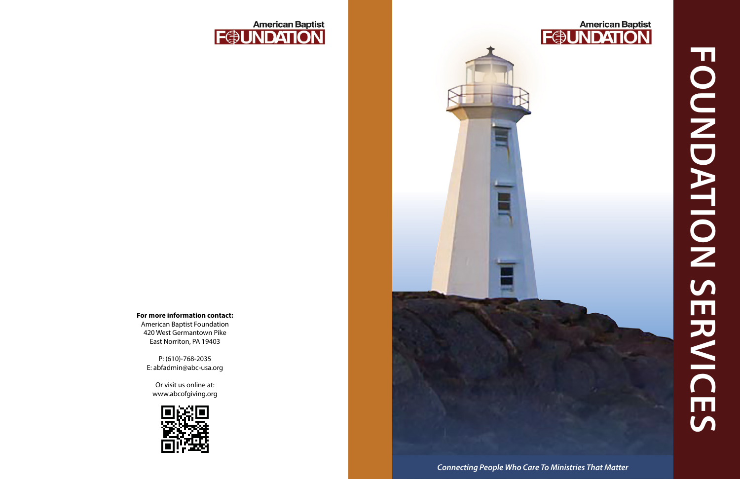

**FONDATION SERVICES FOUNDATION SERVICES**



#### **For more information contact:**  American Baptist Foundation

420 West Germantown Pike East Norriton, PA 19403

P: (610)-768-2035 E: abfadmin@abc-usa.org

Or visit us online at: www.abcofgiving.org

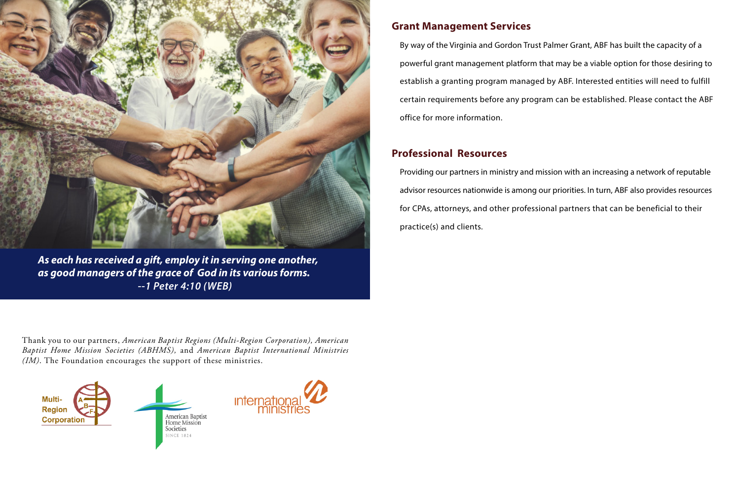

*As each has received a gift, employ it in serving one another, as good managers of the grace of God in its various forms. --1 Peter 4:10 (WEB)*

## **Grant Management Services**

By way of the Virginia and Gordon Trust Palmer Grant, ABF has built the capacity of a powerful grant management platform that may be a viable option for those desiring to establish a granting program managed by ABF. Interested entities will need to fulfill certain requirements before any program can be established. Please contact the ABF office for more information.

### **Professional Resources**

Providing our partners in ministry and mission with an increasing a network of reputable advisor resources nationwide is among our priorities. In turn, ABF also provides resources for CPAs, attorneys, and other professional partners that can be beneficial to their practice(s) and clients.

Thank you to our partners, *American Baptist Regions (Multi-Region Corporation), American Baptist Home Mission Societies (ABHMS),* and *American Baptist International Ministries (IM)*. The Foundation encourages the support of these ministries.





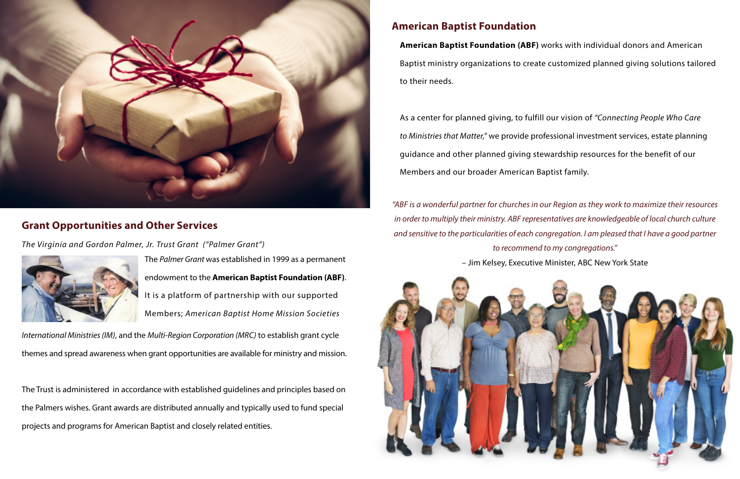# **American Baptist Foundation**

**American Baptist Foundation (ABF)** works with individual donors and American Baptist ministry organizations to create customized planned giving solutions tailored to their needs.

As a center for planned giving, to fulfill our vision of *"Connecting People Who Care to Ministries that Matter,"* we provide professional investment services, estate planning guidance and other planned giving stewardship resources for the benefit of our Members and our broader American Baptist family.



## **Grant Opportunities and Other Services**

*The Virginia and Gordon Palmer, Jr. Trust Grant ("Palmer Grant")* 



The *Palmer Grant* was established in 1999 as a permanent endowment to the **American Baptist Foundation (ABF)**. It is a platform of partnership with our supported Members; *American Baptist Home Mission Societies* 

*International Ministries (IM)*, and the *Multi-Region Corporation (MRC)* to establish grant cycle themes and spread awareness when grant opportunities are available for ministry and mission.

The Trust is administered in accordance with established guidelines and principles based on the Palmers wishes. Grant awards are distributed annually and typically used to fund special projects and programs for American Baptist and closely related entities.

*"ABF is a wonderful partner for churches in our Region as they work to maximize their resources in order to multiply their ministry. ABF representatives are knowledgeable of local church culture and sensitive to the particularities of each congregation. I am pleased that I have a good partner to recommend to my congregations."*  – Jim Kelsey, Executive Minister, ABC New York State